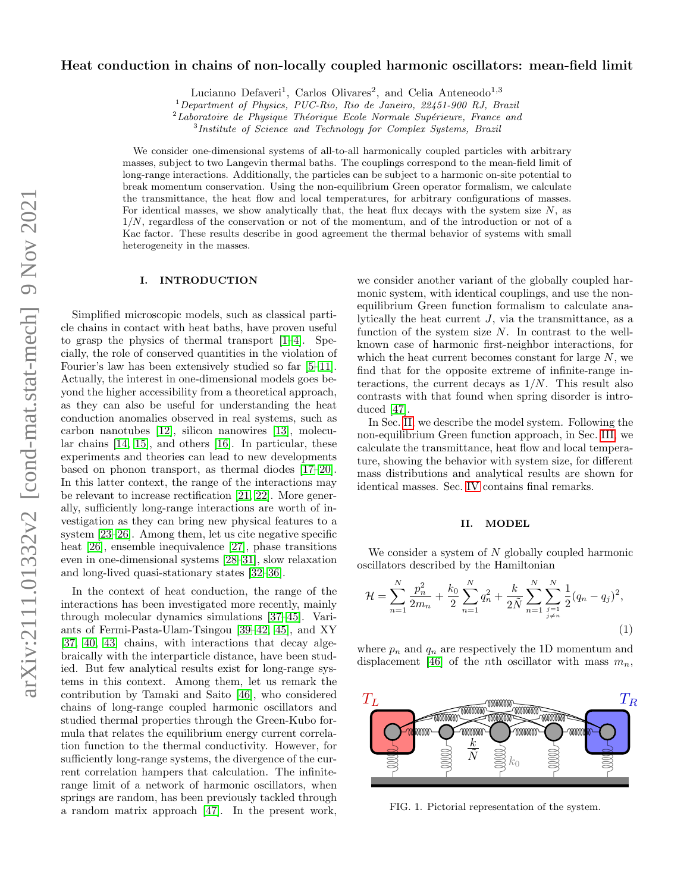# Heat conduction in chains of non-locally coupled harmonic oscillators: mean-field limit

Lucianno Defaveri<sup>1</sup>, Carlos Olivares<sup>2</sup>, and Celia Anteneodo<sup>1,3</sup>

<sup>1</sup>Department of Physics, PUC-Rio, Rio de Janeiro, 22451-900 RJ, Brazil

 $2$ Laboratoire de Physique Théorique Ecole Normale Supérieure, France and

<sup>3</sup>Institute of Science and Technology for Complex Systems, Brazil

We consider one-dimensional systems of all-to-all harmonically coupled particles with arbitrary masses, subject to two Langevin thermal baths. The couplings correspond to the mean-field limit of long-range interactions. Additionally, the particles can be subject to a harmonic on-site potential to break momentum conservation. Using the non-equilibrium Green operator formalism, we calculate the transmittance, the heat flow and local temperatures, for arbitrary configurations of masses. For identical masses, we show analytically that, the heat flux decays with the system size  $N$ , as  $1/N$ , regardless of the conservation or not of the momentum, and of the introduction or not of a Kac factor. These results describe in good agreement the thermal behavior of systems with small heterogeneity in the masses.

### I. INTRODUCTION

Simplified microscopic models, such as classical particle chains in contact with heat baths, have proven useful to grasp the physics of thermal transport [\[1](#page-5-0)[–4\]](#page-5-1). Specially, the role of conserved quantities in the violation of Fourier's law has been extensively studied so far [\[5–](#page-5-2)[11\]](#page-5-3). Actually, the interest in one-dimensional models goes beyond the higher accessibility from a theoretical approach, as they can also be useful for understanding the heat conduction anomalies observed in real systems, such as carbon nanotubes [\[12\]](#page-5-4), silicon nanowires [\[13\]](#page-5-5), molecular chains [\[14,](#page-5-6) [15\]](#page-5-7), and others [\[16\]](#page-5-8). In particular, these experiments and theories can lead to new developments based on phonon transport, as thermal diodes [\[17–](#page-5-9)[20\]](#page-5-10). In this latter context, the range of the interactions may be relevant to increase rectification [\[21,](#page-5-11) [22\]](#page-5-12). More generally, sufficiently long-range interactions are worth of investigation as they can bring new physical features to a system [\[23](#page-5-13)[–26\]](#page-5-14). Among them, let us cite negative specific heat [\[26\]](#page-5-14), ensemble inequivalence [\[27\]](#page-5-15), phase transitions even in one-dimensional systems [\[28](#page-5-16)[–31\]](#page-5-17), slow relaxation and long-lived quasi-stationary states [\[32–](#page-5-18)[36\]](#page-5-19).

In the context of heat conduction, the range of the interactions has been investigated more recently, mainly through molecular dynamics simulations [\[37–](#page-5-20)[45\]](#page-5-21). Variants of Fermi-Pasta-Ulam-Tsingou [\[39–](#page-5-22)[42,](#page-5-23) [45\]](#page-5-21), and XY [\[37,](#page-5-20) [40,](#page-5-24) [43\]](#page-5-25) chains, with interactions that decay algebraically with the interparticle distance, have been studied. But few analytical results exist for long-range systems in this context. Among them, let us remark the contribution by Tamaki and Saito [\[46\]](#page-5-26), who considered chains of long-range coupled harmonic oscillators and studied thermal properties through the Green-Kubo formula that relates the equilibrium energy current correlation function to the thermal conductivity. However, for sufficiently long-range systems, the divergence of the current correlation hampers that calculation. The infiniterange limit of a network of harmonic oscillators, when springs are random, has been previously tackled through a random matrix approach [\[47\]](#page-5-27). In the present work,

we consider another variant of the globally coupled harmonic system, with identical couplings, and use the nonequilibrium Green function formalism to calculate analytically the heat current  $J$ , via the transmittance, as a function of the system size  $N$ . In contrast to the wellknown case of harmonic first-neighbor interactions, for which the heat current becomes constant for large  $N$ , we find that for the opposite extreme of infinite-range interactions, the current decays as  $1/N$ . This result also contrasts with that found when spring disorder is introduced [\[47\]](#page-5-27).

In Sec. [II,](#page-0-0) we describe the model system. Following the non-equilibrium Green function approach, in Sec. [III,](#page-1-0) we calculate the transmittance, heat flow and local temperature, showing the behavior with system size, for different mass distributions and analytical results are shown for identical masses. Sec. [IV](#page-4-0) contains final remarks.

# <span id="page-0-0"></span>II. MODEL

We consider a system of  $N$  globally coupled harmonic oscillators described by the Hamiltonian

<span id="page-0-2"></span>
$$
\mathcal{H} = \sum_{n=1}^{N} \frac{p_n^2}{2m_n} + \frac{k_0}{2} \sum_{n=1}^{N} q_n^2 + \frac{k}{2\tilde{N}} \sum_{n=1}^{N} \sum_{\substack{j=1 \ j \neq n}}^{N} \frac{1}{2} (q_n - q_j)^2,
$$
\n(1)

where  $p_n$  and  $q_n$  are respectively the 1D momentum and displacement [\[46\]](#page-5-26) of the *n*th oscillator with mass  $m_n$ ,



<span id="page-0-1"></span>FIG. 1. Pictorial representation of the system.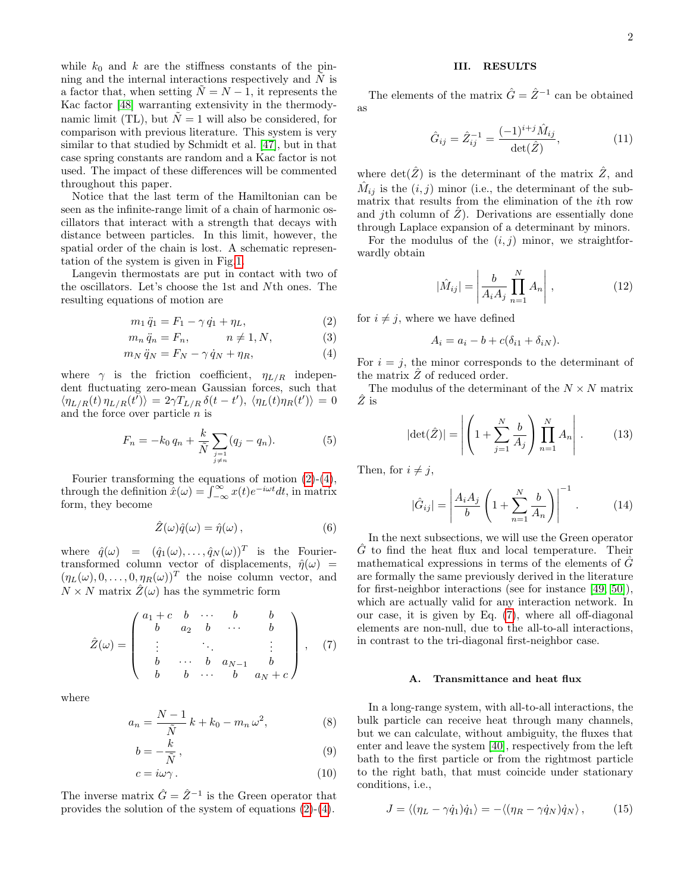while  $k_0$  and k are the stiffness constants of the pinning and the internal interactions respectively and  $N$  is a factor that, when setting  $\tilde{N} = N - 1$ , it represents the Kac factor [\[48\]](#page-5-28) warranting extensivity in the thermodynamic limit (TL), but  $\tilde{N} = 1$  will also be considered, for comparison with previous literature. This system is very similar to that studied by Schmidt et al. [\[47\]](#page-5-27), but in that case spring constants are random and a Kac factor is not used. The impact of these differences will be commented throughout this paper.

Notice that the last term of the Hamiltonian can be seen as the infinite-range limit of a chain of harmonic oscillators that interact with a strength that decays with distance between particles. In this limit, however, the spatial order of the chain is lost. A schematic representation of the system is given in Fig[.1.](#page-0-1)

Langevin thermostats are put in contact with two of the oscillators. Let's choose the 1st and Nth ones. The resulting equations of motion are

<span id="page-1-1"></span>
$$
m_1 \ddot{q}_1 = F_1 - \gamma \dot{q}_1 + \eta_L, \tag{2}
$$

$$
m_n \ddot{q}_n = F_n, \qquad n \neq 1, N,\tag{3}
$$

$$
m_N \ddot{q}_N = F_N - \gamma \dot{q}_N + \eta_R, \tag{4}
$$

where  $\gamma$  is the friction coefficient,  $\eta_{L/R}$  independent fluctuating zero-mean Gaussian forces, such that  $\langle \eta_{L/R}(t) \eta_{L/R}(t') \rangle = 2 \gamma T_{L/R} \, \delta(t - t'), \, \langle \eta_L(t) \eta_R(t') \rangle = 0$ and the force over particle  $n$  is

$$
F_n = -k_0 q_n + \frac{k}{\tilde{N}} \sum_{\substack{j=1 \ j \neq n}} (q_j - q_n). \tag{5}
$$

Fourier transforming the equations of motion [\(2\)](#page-1-1)-[\(4\)](#page-1-1), through the definition  $\hat{x}(\omega) = \int_{-\infty}^{\infty} x(t)e^{-i\omega t}dt$ , in matrix form, they become

$$
\hat{Z}(\omega)\hat{q}(\omega) = \hat{\eta}(\omega),\tag{6}
$$

where  $\hat{q}(\omega) = (\hat{q}_1(\omega), \dots, \hat{q}_N(\omega))^T$  is the Fouriertransformed column vector of displacements,  $\hat{\eta}(\omega)$  =  $(\eta_L(\omega), 0, \ldots, 0, \eta_R(\omega))^T$  the noise column vector, and  $N \times N$  matrix  $\mathcal{Z}(\omega)$  has the symmetric form

<span id="page-1-2"></span>
$$
\hat{Z}(\omega) = \begin{pmatrix}\na_1 + c & b & \cdots & b & b \\
b & a_2 & b & \cdots & b \\
\vdots & & \ddots & & \vdots \\
b & \cdots & b & a_{N-1} & b \\
b & b & \cdots & b & a_N + c\n\end{pmatrix},
$$
(7)

where

<span id="page-1-4"></span>
$$
a_n = \frac{N-1}{\tilde{N}} k + k_0 - m_n \omega^2,
$$
 (8)

$$
b = -\frac{k}{\tilde{N}},\tag{9}
$$

$$
c = i\omega\gamma. \tag{10}
$$

The inverse matrix  $\hat{G} = \hat{Z}^{-1}$  is the Green operator that provides the solution of the system of equations [\(2\)](#page-1-1)-[\(4\)](#page-1-1).

# <span id="page-1-0"></span>III. RESULTS

The elements of the matrix  $\hat{G} = \hat{Z}^{-1}$  can be obtained as

$$
\hat{G}_{ij} = \hat{Z}_{ij}^{-1} = \frac{(-1)^{i+j} \hat{M}_{ij}}{\det(\hat{Z})},
$$
\n(11)

where  $\det(\hat{Z})$  is the determinant of the matrix  $\hat{Z}$ , and  $\hat{M}_{ij}$  is the  $(i, j)$  minor (i.e., the determinant of the submatrix that results from the elimination of the ith row and *j*th column of  $\ddot{Z}$ ). Derivations are essentially done through Laplace expansion of a determinant by minors.

For the modulus of the  $(i, j)$  minor, we straightforwardly obtain

<span id="page-1-6"></span>
$$
|\hat{M}_{ij}| = \left| \frac{b}{A_i A_j} \prod_{n=1}^{N} A_n \right|, \qquad (12)
$$

for  $i \neq j$ , where we have defined

<span id="page-1-5"></span>
$$
A_i = a_i - b + c(\delta_{i1} + \delta_{iN}).
$$

For  $i = j$ , the minor corresponds to the determinant of the matrix  $\ddot{Z}$  of reduced order.

The modulus of the determinant of the  $N \times N$  matrix  $\hat{Z}$  is

$$
|\det(\hat{Z})| = \left| \left( 1 + \sum_{j=1}^{N} \frac{b}{A_j} \right) \prod_{n=1}^{N} A_n \right|.
$$
 (13)

Then, for  $i \neq j$ ,

<span id="page-1-3"></span>
$$
|\hat{G}_{ij}| = \left| \frac{A_i A_j}{b} \left( 1 + \sum_{n=1}^{N} \frac{b}{A_n} \right) \right|^{-1}.
$$
 (14)

In the next subsections, we will use the Green operator  $\hat{G}$  to find the heat flux and local temperature. Their mathematical expressions in terms of the elements of  $\ddot{G}$ are formally the same previously derived in the literature for first-neighbor interactions (see for instance [\[49,](#page-5-29) [50\]](#page-5-30)), which are actually valid for any interaction network. In our case, it is given by Eq. [\(7\)](#page-1-2), where all off-diagonal elements are non-null, due to the all-to-all interactions, in contrast to the tri-diagonal first-neighbor case.

#### A. Transmittance and heat flux

In a long-range system, with all-to-all interactions, the bulk particle can receive heat through many channels, but we can calculate, without ambiguity, the fluxes that enter and leave the system [\[40\]](#page-5-24), respectively from the left bath to the first particle or from the rightmost particle to the right bath, that must coincide under stationary conditions, i.e.,

$$
J = \langle (\eta_L - \gamma \dot{q}_1) \dot{q}_1 \rangle = - \langle (\eta_R - \gamma \dot{q}_N) \dot{q}_N \rangle, \qquad (15)
$$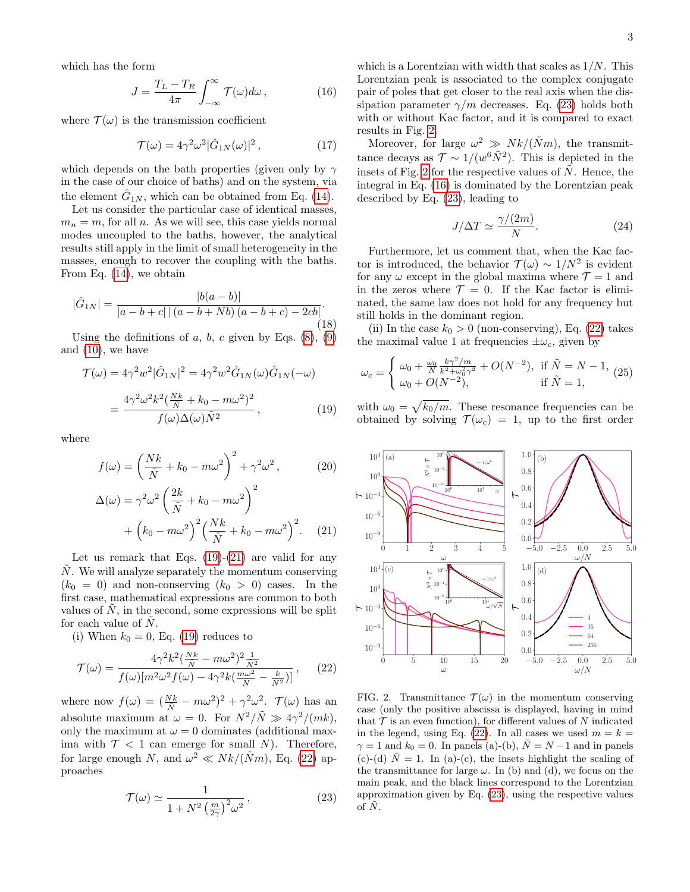which has the form

<span id="page-2-5"></span>
$$
J = \frac{T_L - T_R}{4\pi} \int_{-\infty}^{\infty} \mathcal{T}(\omega) d\omega, \qquad (16)
$$

where  $\mathcal{T}(\omega)$  is the transmission coefficient

<span id="page-2-8"></span>
$$
\mathcal{T}(\omega) = 4\gamma^2 \omega^2 |\hat{G}_{1N}(\omega)|^2, \qquad (17)
$$

which depends on the bath properties (given only by  $\gamma$ in the case of our choice of baths) and on the system, via the element  $\hat{G}_{1N}$ , which can be obtained from Eq. [\(14\)](#page-1-3).

Let us consider the particular case of identical masses,  $m_n = m$ , for all n. As we will see, this case yields normal modes uncoupled to the baths, however, the analytical results still apply in the limit of small heterogeneity in the masses, enough to recover the coupling with the baths. From Eq. [\(14\)](#page-1-3), we obtain

$$
|\hat{G}_{1N}| = \frac{|b(a-b)|}{|a-b+c| \left( (a-b+Nb) (a-b+c) - 2cb \right|}.
$$
\n(18)

Using the definitions of  $a, b, c$  given by Eqs.  $(8), (9)$  $(8), (9)$  $(8), (9)$ and [\(10\)](#page-1-4), we have

<span id="page-2-0"></span>
$$
\mathcal{T}(\omega) = 4\gamma^2 w^2 |\hat{G}_{1N}|^2 = 4\gamma^2 w^2 \hat{G}_{1N}(\omega) \hat{G}_{1N}(-\omega)
$$

$$
= \frac{4\gamma^2 \omega^2 k^2 (\frac{Nk}{\tilde{N}} + k_0 - m\omega^2)^2}{f(\omega) \Delta(\omega) \tilde{N}^2}, \qquad (19)
$$

where

<span id="page-2-1"></span>
$$
f(\omega) = \left(\frac{Nk}{\tilde{N}} + k_0 - m\omega^2\right)^2 + \gamma^2 \omega^2, \qquad (20)
$$

$$
\Delta(\omega) = \gamma^2 \omega^2 \left(\frac{2k}{\tilde{N}} + k_0 - m\omega^2\right)^2 + \left(k_0 - m\omega^2\right)^2 \left(\frac{Nk}{\tilde{N}} + k_0 - m\omega^2\right)^2.
$$
 (21)

Let us remark that Eqs.  $(19)-(21)$  $(19)-(21)$  $(19)-(21)$  are valid for any  $N$ . We will analyze separately the momentum conserving  $(k_0 = 0)$  and non-conserving  $(k_0 > 0)$  cases. In the first case, mathematical expressions are common to both values of  $N$ , in the second, some expressions will be split for each value of  $N$ .

(i) When  $k_0 = 0$ , Eq. [\(19\)](#page-2-0) reduces to

<span id="page-2-2"></span>
$$
\mathcal{T}(\omega) = \frac{4\gamma^2 k^2 \left(\frac{Nk}{\tilde{N}} - m\omega^2\right)^2 \frac{1}{\tilde{N}^2}}{f(\omega)[m^2 \omega^2 f(\omega) - 4\gamma^2 k \left(\frac{m\omega^2}{\tilde{N}} - \frac{k}{\tilde{N}^2}\right)]},\qquad(22)
$$

where now  $f(\omega) = (\frac{Nk}{\tilde{N}} - m\omega^2)^2 + \gamma^2 \omega^2$ .  $\mathcal{T}(\omega)$  has an absolute maximum at  $\omega = 0$ . For  $N^2/\tilde{N} \gg 4\gamma^2/(mk)$ , only the maximum at  $\omega = 0$  dominates (additional maxima with  $\mathcal{T}$  < 1 can emerge for small N). Therefore, for large enough N, and  $\omega^2 \ll Nk/(\tilde{N}m)$ , Eq. [\(22\)](#page-2-2) approaches

<span id="page-2-3"></span>
$$
\mathcal{T}(\omega) \simeq \frac{1}{1 + N^2 \left(\frac{m}{2\gamma}\right)^2 \omega^2},\tag{23}
$$

which is a Lorentzian with width that scales as  $1/N$ . This Lorentzian peak is associated to the complex conjugate pair of poles that get closer to the real axis when the dissipation parameter  $\gamma/m$  decreases. Eq. [\(23\)](#page-2-3) holds both with or without Kac factor, and it is compared to exact results in Fig. [2.](#page-2-4)

Moreover, for large  $\omega^2 \gg Nk/(\tilde{N}m)$ , the transmittance decays as  $\mathcal{T} \sim 1/(w^6 \tilde{N}^2)$ . This is depicted in the insets of Fig. [2](#page-2-4) for the respective values of  $\tilde{N}$ . Hence, the integral in Eq. [\(16\)](#page-2-5) is dominated by the Lorentzian peak described by Eq. [\(23\)](#page-2-3), leading to

<span id="page-2-6"></span>
$$
J/\Delta T \simeq \frac{\gamma/(2m)}{N}.\tag{24}
$$

Furthermore, let us comment that, when the Kac factor is introduced, the behavior  $\mathcal{T}(\omega) \sim 1/N^2$  is evident for any  $\omega$  except in the global maxima where  $\mathcal{T} = 1$  and in the zeros where  $\mathcal{T} = 0$ . If the Kac factor is eliminated, the same law does not hold for any frequency but still holds in the dominant region.

(ii) In the case  $k_0 > 0$  (non-conserving), Eq. [\(22\)](#page-2-2) takes the maximal value 1 at frequencies  $\pm \omega_c$ , given by

<span id="page-2-7"></span>
$$
\omega_c = \begin{cases} \omega_0 + \frac{\omega_0}{N} \frac{k\gamma^2/m}{k^2 + \omega_0^2 \gamma^2} + O(N^{-2}), & \text{if } \tilde{N} = N - 1, \\ \omega_0 + O(N^{-2}), & \text{if } \tilde{N} = 1, \end{cases}
$$
 (25)

with  $\omega_0 = \sqrt{k_0/m}$ . These resonance frequencies can be obtained by solving  $\mathcal{T}(\omega_c) = 1$ , up to the first order



<span id="page-2-4"></span>FIG. 2. Transmittance  $\mathcal{T}(\omega)$  in the momentum conserving case (only the positive abscissa is displayed, having in mind that  $\mathcal T$  is an even function), for different values of N indicated in the legend, using Eq. [\(22\)](#page-2-2). In all cases we used  $m = k =$  $\gamma = 1$  and  $k_0 = 0$ . In panels (a)-(b),  $N = N - 1$  and in panels (c)-(d)  $\tilde{N} = 1$ . In (a)-(c), the insets highlight the scaling of the transmittance for large  $\omega$ . In (b) and (d), we focus on the main peak, and the black lines correspond to the Lorentzian approximation given by Eq. [\(23\)](#page-2-3), using the respective values of  $\tilde{N}$ .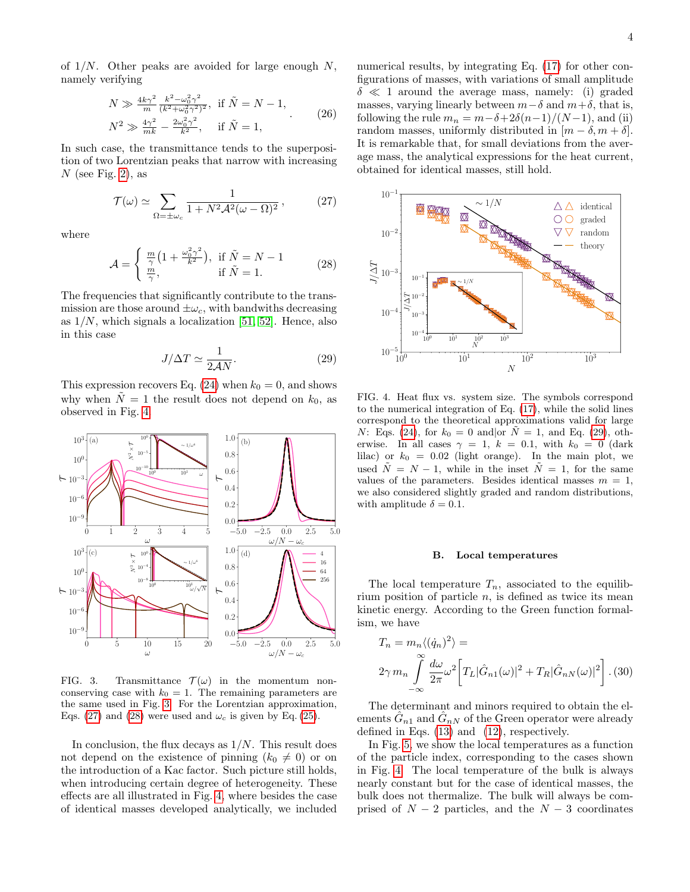of  $1/N$ . Other peaks are avoided for large enough N, namely verifying

$$
N \gg \frac{4k\gamma^2}{m} \frac{k^2 - \omega_0^2 \gamma^2}{(k^2 + \omega_0^2 \gamma^2)^2}, \text{ if } \tilde{N} = N - 1,
$$
  
\n
$$
N^2 \gg \frac{4\gamma^2}{mk} - \frac{2\omega_0^2 \gamma^2}{k^2}, \text{ if } \tilde{N} = 1,
$$
\n(26)

In such case, the transmittance tends to the superposition of two Lorentzian peaks that narrow with increasing  $N$  (see Fig. [2\)](#page-2-4), as

<span id="page-3-2"></span>
$$
\mathcal{T}(\omega) \simeq \sum_{\Omega = \pm \omega_c} \frac{1}{1 + N^2 \mathcal{A}^2 (\omega - \Omega)^2},\tag{27}
$$

where

<span id="page-3-3"></span>
$$
\mathcal{A} = \begin{cases} \frac{m}{\gamma} \left( 1 + \frac{\omega_0^2 \gamma^2}{k^2} \right), & \text{if } \tilde{N} = N - 1\\ \frac{m}{\gamma}, & \text{if } \tilde{N} = 1. \end{cases}
$$
 (28)

The frequencies that significantly contribute to the transmission are those around  $\pm \omega_c$ , with bandwiths decreasing as  $1/N$ , which signals a localization [\[51,](#page-5-31) [52\]](#page-5-32). Hence, also in this case

<span id="page-3-4"></span>
$$
J/\Delta T \simeq \frac{1}{2\mathcal{A}N}.\tag{29}
$$

This expression recovers Eq. [\(24\)](#page-2-6) when  $k_0 = 0$ , and shows why when  $\tilde{N} = 1$  the result does not depend on  $k_0$ , as observed in Fig. [4.](#page-3-0)



<span id="page-3-1"></span>FIG. 3. Transmittance  $\mathcal{T}(\omega)$  in the momentum nonconserving case with  $k_0 = 1$ . The remaining parameters are the same used in Fig. [3.](#page-3-1) For the Lorentzian approximation, Eqs. [\(27\)](#page-3-2) and [\(28\)](#page-3-3) were used and  $\omega_c$  is given by Eq. [\(25\)](#page-2-7).

In conclusion, the flux decays as  $1/N$ . This result does not depend on the existence of pinning  $(k_0 \neq 0)$  or on the introduction of a Kac factor. Such picture still holds, when introducing certain degree of heterogeneity. These effects are all illustrated in Fig. [4,](#page-3-0) where besides the case of identical masses developed analytically, we included

numerical results, by integrating Eq.  $(17)$  for other configurations of masses, with variations of small amplitude  $\delta \ll 1$  around the average mass, namely: (i) graded masses, varying linearly between  $m-\delta$  and  $m+\delta$ , that is, following the rule  $m_n = m - \delta + 2\delta(n-1)/(N-1)$ , and (ii) random masses, uniformly distributed in  $[m - \delta, m + \delta]$ . It is remarkable that, for small deviations from the average mass, the analytical expressions for the heat current, obtained for identical masses, still hold.



<span id="page-3-0"></span>FIG. 4. Heat flux vs. system size. The symbols correspond to the numerical integration of Eq. [\(17\)](#page-2-8), while the solid lines correspond to the theoretical approximations valid for large N: Eqs. [\(24\)](#page-2-6), for  $k_0 = 0$  and or  $\tilde{N} = 1$ , and Eq. [\(29\)](#page-3-4), otherwise. In all cases  $\gamma = 1, k = 0.1$ , with  $k_0 = 0$  (dark lilac) or  $k_0 = 0.02$  (light orange). In the main plot, we used  $\tilde{N} = N - 1$ , while in the inset  $\tilde{N} = 1$ , for the same values of the parameters. Besides identical masses  $m = 1$ , we also considered slightly graded and random distributions, with amplitude  $\delta = 0.1$ .

### B. Local temperatures

The local temperature  $T_n$ , associated to the equilibrium position of particle  $n$ , is defined as twice its mean kinetic energy. According to the Green function formalism, we have

<span id="page-3-5"></span>
$$
T_n = m_n \langle (\dot{q}_n)^2 \rangle =
$$
  
 
$$
2\gamma m_n \int_{-\infty}^{\infty} \frac{d\omega}{2\pi} \omega^2 \left[ T_L |\hat{G}_{n1}(\omega)|^2 + T_R |\hat{G}_{nN}(\omega)|^2 \right]. (30)
$$

The determinant and minors required to obtain the elements  $\hat{G}_{n1}$  and  $\hat{G}_{nN}$  of the Green operator were already defined in Eqs. [\(13\)](#page-1-5) and [\(12\)](#page-1-6), respectively.

In Fig. [5,](#page-4-1) we show the local temperatures as a function of the particle index, corresponding to the cases shown in Fig. [4.](#page-3-0) The local temperature of the bulk is always nearly constant but for the case of identical masses, the bulk does not thermalize. The bulk will always be comprised of  $N-2$  particles, and the  $N-3$  coordinates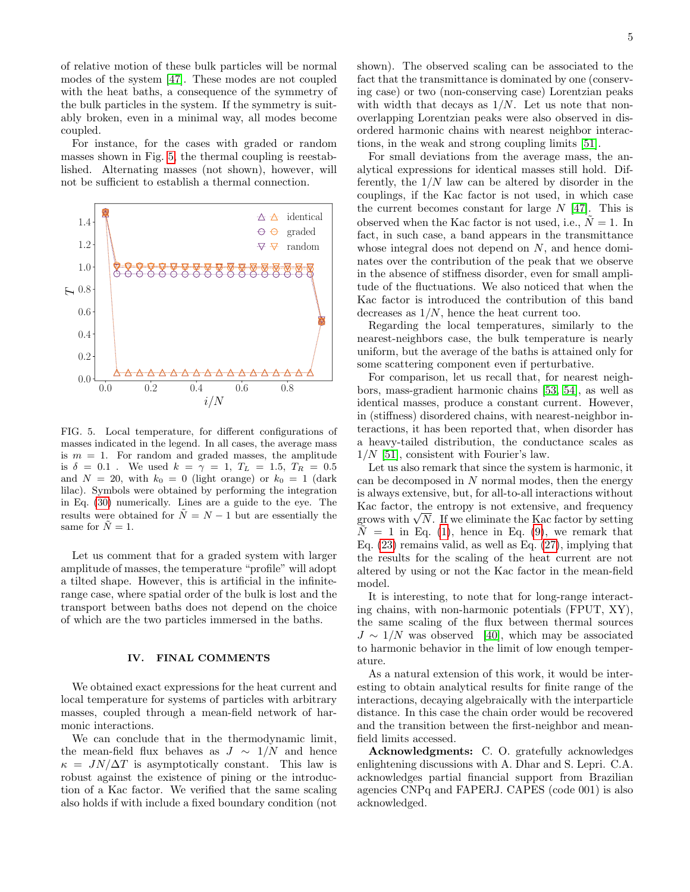of relative motion of these bulk particles will be normal modes of the system [\[47\]](#page-5-27). These modes are not coupled with the heat baths, a consequence of the symmetry of the bulk particles in the system. If the symmetry is suitably broken, even in a minimal way, all modes become coupled.

For instance, for the cases with graded or random masses shown in Fig. [5,](#page-4-1) the thermal coupling is reestablished. Alternating masses (not shown), however, will not be sufficient to establish a thermal connection.



<span id="page-4-1"></span>FIG. 5. Local temperature, for different configurations of masses indicated in the legend. In all cases, the average mass is  $m = 1$ . For random and graded masses, the amplitude is  $\delta = 0.1$ . We used  $k = \gamma = 1, T_L = 1.5, T_R = 0.5$ and  $N = 20$ , with  $k_0 = 0$  (light orange) or  $k_0 = 1$  (dark lilac). Symbols were obtained by performing the integration in Eq. [\(30\)](#page-3-5) numerically. Lines are a guide to the eye. The results were obtained for  $\tilde{N} = N - 1$  but are essentially the same for  $\tilde{N} = 1$ .

Let us comment that for a graded system with larger amplitude of masses, the temperature "profile" will adopt a tilted shape. However, this is artificial in the infiniterange case, where spatial order of the bulk is lost and the transport between baths does not depend on the choice of which are the two particles immersed in the baths.

### <span id="page-4-0"></span>IV. FINAL COMMENTS

We obtained exact expressions for the heat current and local temperature for systems of particles with arbitrary masses, coupled through a mean-field network of harmonic interactions.

We can conclude that in the thermodynamic limit, the mean-field flux behaves as  $J \sim 1/N$  and hence  $\kappa = JN/\Delta T$  is asymptotically constant. This law is robust against the existence of pining or the introduction of a Kac factor. We verified that the same scaling also holds if with include a fixed boundary condition (not

shown). The observed scaling can be associated to the fact that the transmittance is dominated by one (conserving case) or two (non-conserving case) Lorentzian peaks with width that decays as  $1/N$ . Let us note that nonoverlapping Lorentzian peaks were also observed in disordered harmonic chains with nearest neighbor interactions, in the weak and strong coupling limits [\[51\]](#page-5-31).

For small deviations from the average mass, the analytical expressions for identical masses still hold. Differently, the  $1/N$  law can be altered by disorder in the couplings, if the Kac factor is not used, in which case the current becomes constant for large  $N$  [\[47\]](#page-5-27). This is observed when the Kac factor is not used, i.e.,  $N = 1$ . In fact, in such case, a band appears in the transmittance whose integral does not depend on  $N$ , and hence dominates over the contribution of the peak that we observe in the absence of stiffness disorder, even for small amplitude of the fluctuations. We also noticed that when the Kac factor is introduced the contribution of this band decreases as  $1/N$ , hence the heat current too.

Regarding the local temperatures, similarly to the nearest-neighbors case, the bulk temperature is nearly uniform, but the average of the baths is attained only for some scattering component even if perturbative.

For comparison, let us recall that, for nearest neighbors, mass-gradient harmonic chains [\[53,](#page-5-33) [54\]](#page-5-34), as well as identical masses, produce a constant current. However, in (stiffness) disordered chains, with nearest-neighbor interactions, it has been reported that, when disorder has a heavy-tailed distribution, the conductance scales as  $1/N$  [\[51\]](#page-5-31), consistent with Fourier's law.

Let us also remark that since the system is harmonic, it can be decomposed in  $N$  normal modes, then the energy is always extensive, but, for all-to-all interactions without Kac factor, the entropy is not extensive, and frequency grows with  $\sqrt{N}$ . If we eliminate the Kac factor by setting  $N = 1$  in Eq. [\(1\)](#page-0-2), hence in Eq. [\(9\)](#page-1-4), we remark that Eq. [\(23\)](#page-2-3) remains valid, as well as Eq. [\(27\)](#page-3-2), implying that the results for the scaling of the heat current are not altered by using or not the Kac factor in the mean-field model.

It is interesting, to note that for long-range interacting chains, with non-harmonic potentials (FPUT, XY), the same scaling of the flux between thermal sources  $J \sim 1/N$  was observed [\[40\]](#page-5-24), which may be associated to harmonic behavior in the limit of low enough temperature.

As a natural extension of this work, it would be interesting to obtain analytical results for finite range of the interactions, decaying algebraically with the interparticle distance. In this case the chain order would be recovered and the transition between the first-neighbor and meanfield limits accessed.

Acknowledgments: C. O. gratefully acknowledges enlightening discussions with A. Dhar and S. Lepri. C.A. acknowledges partial financial support from Brazilian agencies CNPq and FAPERJ. CAPES (code 001) is also acknowledged.